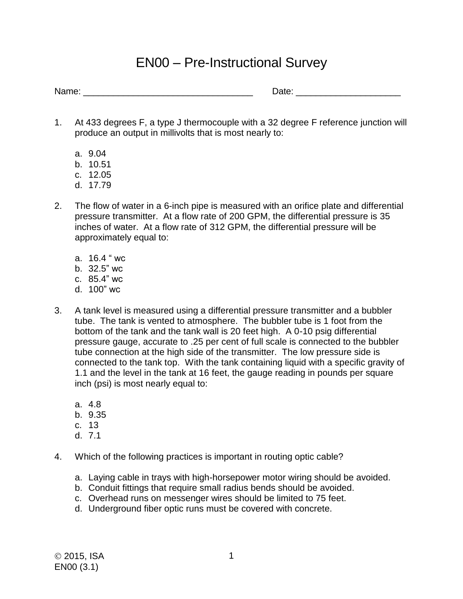## EN00 – Pre-Instructional Survey

Name: \_\_\_\_\_\_\_\_\_\_\_\_\_\_\_\_\_\_\_\_\_\_\_\_\_\_\_\_\_\_\_\_\_\_ Date: \_\_\_\_\_\_\_\_\_\_\_\_\_\_\_\_\_\_\_\_\_

- 1. At 433 degrees F, a type J thermocouple with a 32 degree F reference junction will produce an output in millivolts that is most nearly to:
	- a. 9.04
	- b. 10.51
	- c. 12.05
	- d. 17.79
- 2. The flow of water in a 6-inch pipe is measured with an orifice plate and differential pressure transmitter. At a flow rate of 200 GPM, the differential pressure is 35 inches of water. At a flow rate of 312 GPM, the differential pressure will be approximately equal to:
	- a. 16.4 " wc
	- b. 32.5" wc
	- c. 85.4" wc
	- d. 100" wc
- 3. A tank level is measured using a differential pressure transmitter and a bubbler tube. The tank is vented to atmosphere. The bubbler tube is 1 foot from the bottom of the tank and the tank wall is 20 feet high. A 0-10 psig differential pressure gauge, accurate to .25 per cent of full scale is connected to the bubbler tube connection at the high side of the transmitter. The low pressure side is connected to the tank top. With the tank containing liquid with a specific gravity of 1.1 and the level in the tank at 16 feet, the gauge reading in pounds per square inch (psi) is most nearly equal to:
	- a. 4.8
	- b. 9.35
	- c. 13
	- d. 7.1
- 4. Which of the following practices is important in routing optic cable?
	- a. Laying cable in trays with high-horsepower motor wiring should be avoided.
	- b. Conduit fittings that require small radius bends should be avoided.
	- c. Overhead runs on messenger wires should be limited to 75 feet.
	- d. Underground fiber optic runs must be covered with concrete.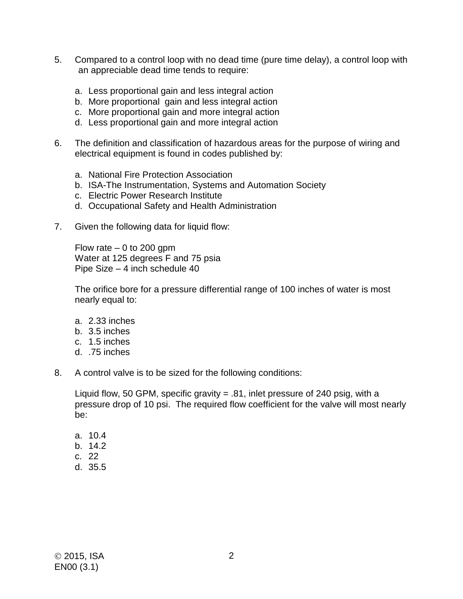- 5. Compared to a control loop with no dead time (pure time delay), a control loop with an appreciable dead time tends to require:
	- a. Less proportional gain and less integral action
	- b. More proportional gain and less integral action
	- c. More proportional gain and more integral action
	- d. Less proportional gain and more integral action
- 6. The definition and classification of hazardous areas for the purpose of wiring and electrical equipment is found in codes published by:
	- a. National Fire Protection Association
	- b. ISA-The Instrumentation, Systems and Automation Society
	- c. Electric Power Research Institute
	- d. Occupational Safety and Health Administration
- 7. Given the following data for liquid flow:

Flow rate  $-0$  to 200 gpm Water at 125 degrees F and 75 psia Pipe Size – 4 inch schedule 40

The orifice bore for a pressure differential range of 100 inches of water is most nearly equal to:

- a. 2.33 inches
- b. 3.5 inches
- c. 1.5 inches
- d. .75 inches
- 8. A control valve is to be sized for the following conditions:

Liquid flow, 50 GPM, specific gravity = .81, inlet pressure of 240 psig, with a pressure drop of 10 psi. The required flow coefficient for the valve will most nearly be:

- a. 10.4
- b. 14.2
- c. 22
- d. 35.5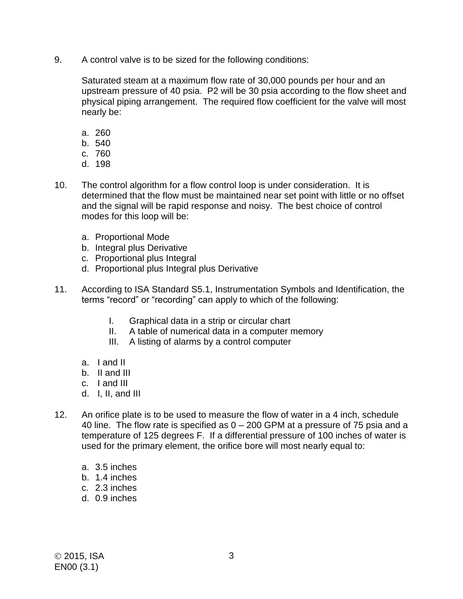9. A control valve is to be sized for the following conditions:

Saturated steam at a maximum flow rate of 30,000 pounds per hour and an upstream pressure of 40 psia. P2 will be 30 psia according to the flow sheet and physical piping arrangement. The required flow coefficient for the valve will most nearly be:

- a. 260
- b. 540
- c. 760
- d. 198
- 10. The control algorithm for a flow control loop is under consideration. It is determined that the flow must be maintained near set point with little or no offset and the signal will be rapid response and noisy. The best choice of control modes for this loop will be:
	- a. Proportional Mode
	- b. Integral plus Derivative
	- c. Proportional plus Integral
	- d. Proportional plus Integral plus Derivative
- 11. According to ISA Standard S5.1, Instrumentation Symbols and Identification, the terms "record" or "recording" can apply to which of the following:
	- I. Graphical data in a strip or circular chart
	- II. A table of numerical data in a computer memory
	- III. A listing of alarms by a control computer
	- a. I and II
	- b. II and III
	- c. I and III
	- d. I, II, and III
- 12. An orifice plate is to be used to measure the flow of water in a 4 inch, schedule 40 line. The flow rate is specified as 0 – 200 GPM at a pressure of 75 psia and a temperature of 125 degrees F. If a differential pressure of 100 inches of water is used for the primary element, the orifice bore will most nearly equal to:
	- a. 3.5 inches
	- b. 1.4 inches
	- c. 2.3 inches
	- d. 0.9 inches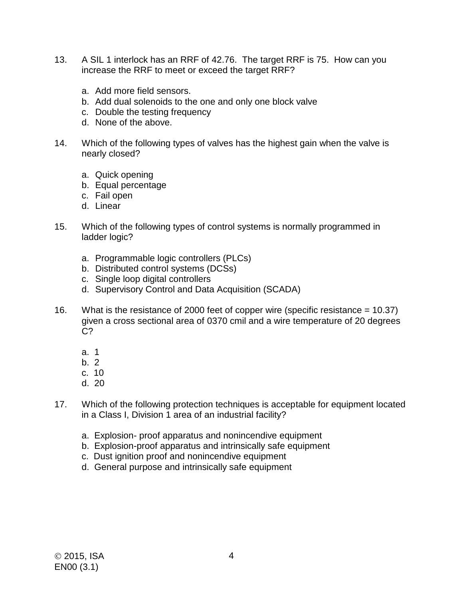- 13. A SIL 1 interlock has an RRF of 42.76. The target RRF is 75. How can you increase the RRF to meet or exceed the target RRF?
	- a. Add more field sensors.
	- b. Add dual solenoids to the one and only one block valve
	- c. Double the testing frequency
	- d. None of the above.
- 14. Which of the following types of valves has the highest gain when the valve is nearly closed?
	- a. Quick opening
	- b. Equal percentage
	- c. Fail open
	- d. Linear
- 15. Which of the following types of control systems is normally programmed in ladder logic?
	- a. Programmable logic controllers (PLCs)
	- b. Distributed control systems (DCSs)
	- c. Single loop digital controllers
	- d. Supervisory Control and Data Acquisition (SCADA)
- 16. What is the resistance of 2000 feet of copper wire (specific resistance = 10.37) given a cross sectional area of 0370 cmil and a wire temperature of 20 degrees C?
	- a. 1
	- b. 2
	- c. 10
	- d. 20
- 17. Which of the following protection techniques is acceptable for equipment located in a Class I, Division 1 area of an industrial facility?
	- a. Explosion- proof apparatus and nonincendive equipment
	- b. Explosion-proof apparatus and intrinsically safe equipment
	- c. Dust ignition proof and nonincendive equipment
	- d. General purpose and intrinsically safe equipment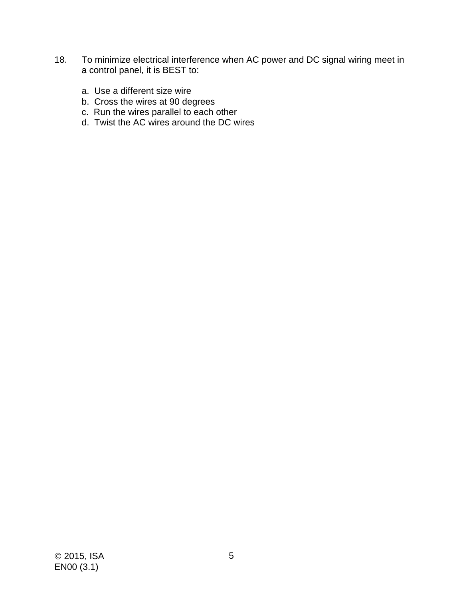- 18. To minimize electrical interference when AC power and DC signal wiring meet in a control panel, it is BEST to:
	- a. Use a different size wire
	- b. Cross the wires at 90 degrees
	- c. Run the wires parallel to each other
	- d. Twist the AC wires around the DC wires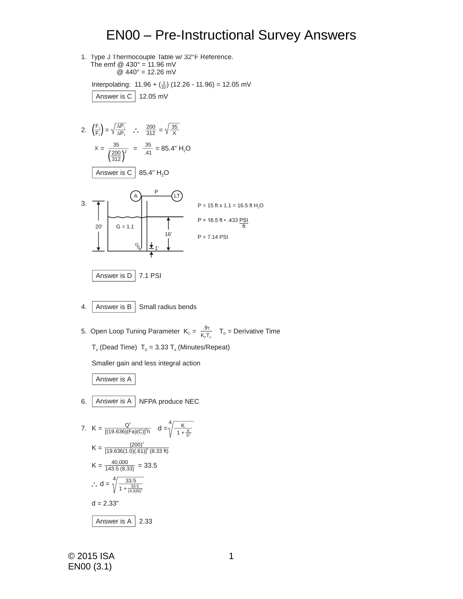## EN00 – Pre-Instructional Survey Answers

1. Type J Thermocouple Table w/ 32°F Reference. The emf  $@$  430 $^{\circ}$  = 11.96 mV  $@ 440° = 12.26$  mV

Interpolating:  $11.96 + \binom{3}{10}$  (12.26 - 11.96) = 12.05 mV Answer is C 12.05 mV

2.  $\left(\frac{F_1}{F}\right) = \sqrt{\frac{\Delta P_1}{P_2}}$  :  $\frac{200}{24.2} = \sqrt{\frac{35}{25}}$ 3. 20' 16' 1'  $G = 1.1$ A <del>Letter and</del> LT P  $P = 15$  ft x 1.1 = 16.5 ft H<sub>2</sub>O  $P = 16.5 \text{ ft} \cdot .433 \text{ P} \frac{S I}{P}$  $P = 7.14$  PSI  $=\frac{35}{1000} = \frac{35}{14} = 85.4$ " H<sub>2</sub>O 200 35  $X = \frac{36}{\sqrt{200} \lambda^2} = \frac{36}{.41}$  $F_2$ /  $\sim$   $\vee$   $\triangle P_2$   $\cdots$  312  $\sim$   $\vee$  X 312 Answer is C  $\mid$  85.4" H $_{2}$ O ft

Answer is 
$$
D
$$
 7.1  $PSI$ 

- 4. Answer is B Small radius bends
- 5. Open Loop Tuning Parameter  $K_c = \frac{.9\pi}{15\pi^2}$  $\frac{137}{16\sqrt{10}}$  T<sub>D</sub> = Derivative Time  $T_a$  (Dead Time)  $T_p$  = 3.33  $T_a$  (Minutes/Repeat)

Smaller gain and less integral action

Answer is A

6. Answer is A NFPA produce NEC

7. 
$$
K = \frac{Q^{2}}{[(19.636)(Fa)(C)]^{2}h} \quad d = \sqrt[4]{\frac{K}{1 + \frac{K}{D^{2}}}}
$$

$$
K = \frac{(200)^{2}}{[19.636(1.0)(.61)]^{2}(8.33 ft)}
$$

$$
K = \frac{40,000}{143.5 (8.33)} = 33.5
$$

$$
\therefore d = \sqrt[4]{\frac{33.5}{1 + \frac{33.5}{(4.026)^{2}}}}
$$

$$
d = 2.33^{n}
$$
Answer is A 2.33

© 2015 ISA EN00 (3.1)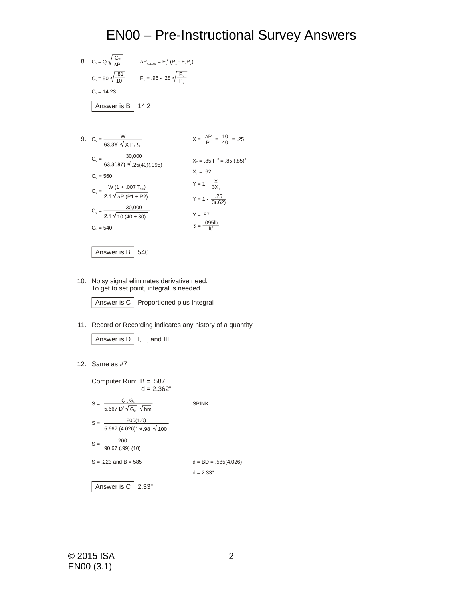## EN00 – Pre-Instructional Survey Answers

- 8.  $C_v = Q \sqrt{\frac{G_F}{\Delta P}}$   $\Delta P_{\text{ALOW}} = F_{\text{L}}^2 (P_1 F_F P_v)$  $C_v = 50 \sqrt{\frac{.81}{10}}$   $F_F = .96 - .28 \sqrt{\frac{P_v}{P_c}}$ Answer is B 14.2  $C_v = 14.23$ 10
- 9.  $C_v = \frac{W}{63.333 \sqrt{\sqrt{Y} \sqrt{Y}}}$   $X = \frac{\Delta P}{P_1} = \frac{10}{40} = .25$  $Y = 1 - \frac{X}{3X_{T}}$  $Y = 1 - \frac{.25}{3(.62)}$  $Y = .87$ =  $\frac{.095 \text{lb}}{\text{ft}^3}$  $X_T = .85 \text{ F}^2 = .85 (.85)^2$  $X_T = .62$  $C_v = \frac{W (1 + .007 T_{\text{sh}})}{2.1 \sqrt{\Delta P (P1 + P2)}}$  $C_v = \frac{30,000}{2.1 \sqrt{10 (40 + 30)}}$  $C_v = \frac{30,000}{f}$  $C_v = 560$  $C_v = 540$  $X P_{F} Y_{1}$ .25(40)(.095)

Answer is B 540

10. Noisy signal eliminates derivative need. To get to set point, integral is needed.

Answer is C Proportioned plus Integral

11. Record or Recording indicates any history of a quantity.

Answer is 
$$
D \mid I, II,
$$
 and  $III$ 

12. Same as #7

Answer is C 2.33" Computer Run: B = .587  $d = 2.362"$  $S = \frac{Q_m - Q_b}{5.667 \text{ D}^2 \sqrt{\text{G}} \cdot \sqrt{\text{hm}}}$  SPINK  $S = \frac{288(1)}{5.667(4.026)^2}$  $S = \frac{200}{90.67 (0.99)(10)}$  $S = .223$  and  $B = 585$  d = BD = .585(4.026)  $d = 2.33"$  $\mathsf{Q}_{\scriptscriptstyle{\mathsf{m}}}$   $\mathsf{G}_{\scriptscriptstyle{\mathsf{b}}}$ 200(1.0) 200 G<sub>F</sub> √hm .98 100